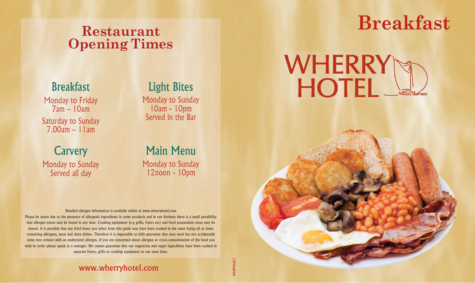## **Restaurant Opening Times**

### Breakfast

Monday to Friday 7am – 10am Saturday to Sunday 7.00am – 11am

## Light Bites

Monday to Sunday 10am - 10pm Served in the Bar

**Carvery** Monday to Sunday Served all day

### Main Menu Monday to Sunday 12noon - 10pm

#### Detailed allergen information is available online at www.wherryhotel.com

Please be aware due to the presence of allergenic ingredients in some products and in our kitchens there is a small possibility that allergen traces may be found in any item. Cooking equipment (e.g grills, fryers etc) and food preparation areas may be shared. It is possible that any fried items you select from this guide may have been cooked in the same frying oil as items containing allergens, meat and dairy dishes. Therefore it is impossible to fully guarantee that your meal has not accidentally come into contact with an undeclared allergen. If you are concerned about allergies or cross-contamination of the food you wish to order please speak to a manager. We cannot guarantee that our vegetarian and vegan ingredients have been cooked in separate fryers, grills or cooking equipment to our meat lines.

#### www.wherryhotel.com

## **Breakfast**

# **WHERRY** HOTEL\_